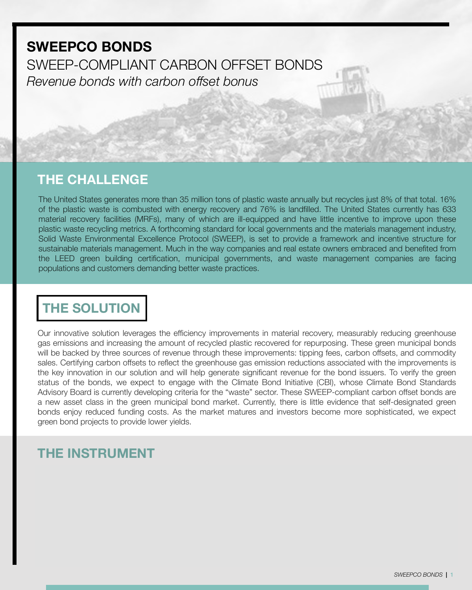# *Revenue bonds with carbon offset bonus* **SWEEPCO BONDS** SWEEP-COMPLIANT CARBON OFFSET BONDS

#### **THE CHALLENGE**

The United States generates more than 35 million tons of plastic waste annually but recycles just 8% of that total. 16% of the plastic waste is combusted with energy recovery and 76% is landfilled. The United States currently has 633 material recovery facilities (MRFs), many of which are ill-equipped and have little incentive to improve upon these plastic waste recycling metrics. A forthcoming standard for local governments and the materials management industry, Solid Waste Environmental Excellence Protocol (SWEEP), is set to provide a framework and incentive structure for sustainable materials management. Much in the way companies and real estate owners embraced and benefited from the LEED green building certification, municipal governments, and waste management companies are facing populations and customers demanding better waste practices.

# **THE SOLUTION**

Our innovative solution leverages the efficiency improvements in material recovery, measurably reducing greenhouse gas emissions and increasing the amount of recycled plastic recovered for repurposing. These green municipal bonds will be backed by three sources of revenue through these improvements: tipping fees, carbon offsets, and commodity sales. Certifying carbon offsets to reflect the greenhouse gas emission reductions associated with the improvements is the key innovation in our solution and will help generate significant revenue for the bond issuers. To verify the green status of the bonds, we expect to engage with the Climate Bond Initiative (CBI), whose Climate Bond Standards Advisory Board is currently developing criteria for the "waste" sector. These SWEEP-compliant carbon offset bonds are a new asset class in the green municipal bond market. Currently, there is little evidence that self-designated green bonds enjoy reduced funding costs. As the market matures and investors become more sophisticated, we expect green bond projects to provide lower yields.

# **THE INSTRUMENT**